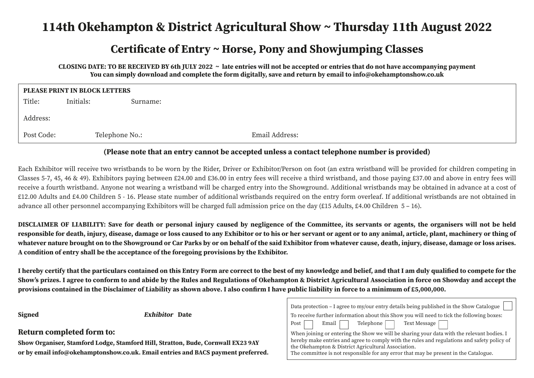# **114th Okehampton & District Agricultural Show ~ Thursday 11th August 2022**

### **Certificate of Entry ~ Horse, Pony and Showjumping Classes**

**CLOSING DATE: TO BE RECEIVED BY 6th JULY 2022 ~ late entries will not be accepted or entries that do not have accompanying payment You can simply download and complete the form digitally, save and return by email to info@okehamptonshow.co.uk**

| PLEASE PRINT IN BLOCK LETTERS |                |          |                |  |  |  |  |  |  |
|-------------------------------|----------------|----------|----------------|--|--|--|--|--|--|
| Title:                        | Initials:      | Surname: |                |  |  |  |  |  |  |
| Address:                      |                |          |                |  |  |  |  |  |  |
| Post Code:                    | Telephone No.: |          | Email Address: |  |  |  |  |  |  |

### **(Please note that an entry cannot be accepted unless a contact telephone number is provided)**

Each Exhibitor will receive two wristbands to be worn by the Rider, Driver or Exhibitor/Person on foot (an extra wristband will be provided for children competing in Classes 5-7, 45, 46 & 49). Exhibitors paying between £24.00 and £36.00 in entry fees will receive a third wristband, and those paying £37.00 and above in entry fees will receive a fourth wristband. Anyone not wearing a wristband will be charged entry into the Showground. Additional wristbands may be obtained in advance at a cost of £12.00 Adults and £4.00 Children 5 - 16. Please state number of additional wristbands required on the entry form overleaf. If additional wristbands are not obtained in advance all other personnel accompanying Exhibitors will be charged full admission price on the day (£15 Adults, £4.00 Children 5 – 16).

**DISCLAIMER OF LIABILITY: Save for death or personal injury caused by negligence of the Committee, its servants or agents, the organisers will not be held responsible for death, injury, disease, damage or loss caused to any Exhibitor or to his or her servant or agent or to any animal, article, plant, machinery or thing of whatever nature brought on to the Showground or Car Parks by or on behalf of the said Exhibitor from whatever cause, death, injury, disease, damage or loss arises. A condition of entry shall be the acceptance of the foregoing provisions by the Exhibitor.**

**I hereby certify that the particulars contained on this Entry Form are correct to the best of my knowledge and belief, and that I am duly qualified to compete for the Show's prizes. I agree to conform to and abide by the Rules and Regulations of Okehampton & District Agricultural Association in force on Showday and accept the provisions contained in the Disclaimer of Liability as shown above. I also confirm I have public liability in force to a minimum of £5,000,000.**

**Exhibitor** Date

### **Return completed form to:**

**Show Organiser, Stamford Lodge, Stamford Hill, Stratton, Bude, Cornwall EX23 9AY or by email info@okehamptonshow.co.uk. Email entries and BACS payment preferred.**

| Data protection – I agree to my/our entry details being published in the Show Catalogue     |  |  |  |  |  |  |  |  |  |
|---------------------------------------------------------------------------------------------|--|--|--|--|--|--|--|--|--|
| To receive further information about this Show you will need to tick the following boxes:   |  |  |  |  |  |  |  |  |  |
| Post Remail Telephone Text Message                                                          |  |  |  |  |  |  |  |  |  |
| When joining or entering the Show we will be sharing your data with the relevant bodies. I  |  |  |  |  |  |  |  |  |  |
| hereby make entries and agree to comply with the rules and regulations and safety policy of |  |  |  |  |  |  |  |  |  |
| the Okehampton & District Agricultural Association.                                         |  |  |  |  |  |  |  |  |  |
| The committee is not responsible for any error that may be present in the Catalogue.        |  |  |  |  |  |  |  |  |  |